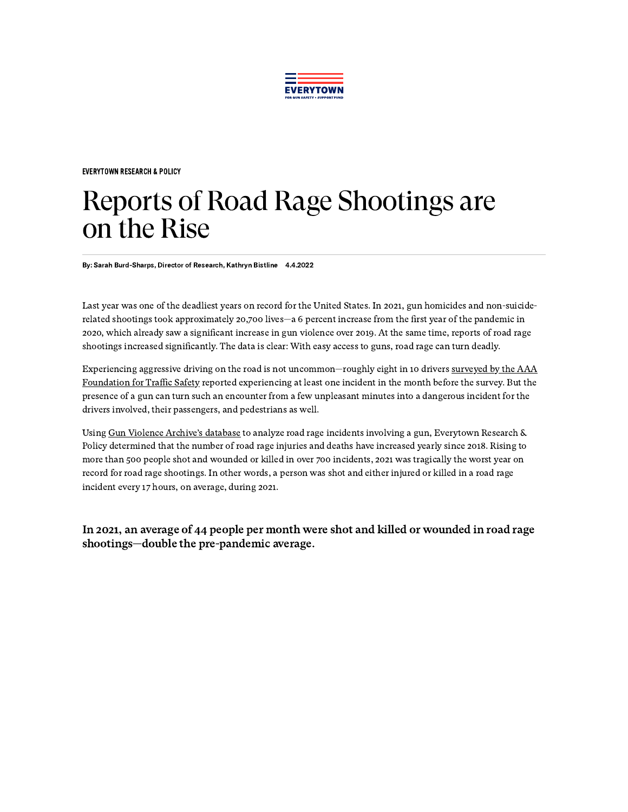

[EVERYTOWN](https://everytownresearch.org/category/everytown-research-policy/) RESEARCH & POLICY

## Reports of Road Rage Shootings are on the Rise

By: Sarah Burd-Sharps, Director of Research, Kathryn Bistline 4.4.2022

Last year was one of the deadliest years on record for the United States. In 2021, gun homicides and non-suiciderelated shootings took approximately 20,700 lives—a 6 percent increase from the first year of the pandemic in 2020, which already saw a significant increase in gun violence over 2019. At the same time, reports of road rage shootings increased significantly. The data is clear: With easy access to guns, road rage can turn deadly.

[Experiencing aggressive](https://exchange.aaa.com/safety/driving-advice/aggressive-driving/?zip=32207&devicecd=PC#.X84Uv9hKi3c) driving on the road is not uncommon—roughly eight in 10 drivers surveyed by the AAA Foundation for Traffic Safety reported experiencing at least one incident in the month before the survey. But the presence of a gun can turn such an encounter from a few unpleasant minutes into a dangerous incident for the drivers involved, their passengers, and pedestrians as well.

Using Gun Violence [Archive's](https://www.gunviolencearchive.org/) database to analyze road rage incidents involving a gun, Everytown Research & Policy determined that the number of road rage injuries and deaths have increased yearly since 2018. Rising to more than 500 people shot and wounded or killed in over 700 incidents, 2021 was tragically the worst year on record for road rage shootings. In other words, a person was shot and either injured or killed in a road rage incident every 17 hours, on average, during 2021.

In 2021, an average of 44 people per month were shot and killed or wounded in road rage shootings—double the pre-pandemic average.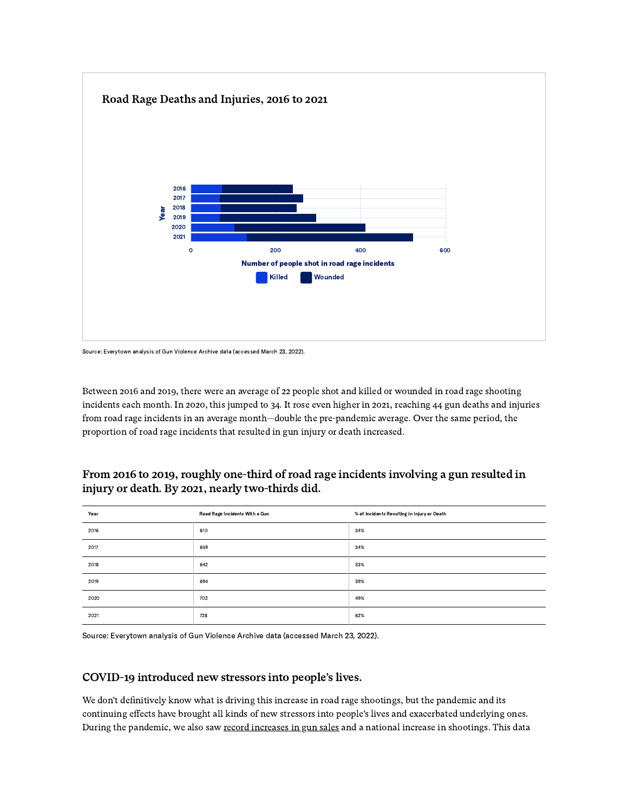

Source: Everytown analysis of Gun Violence Archive data (accessed March 23, 2022).

Between 2016 and 2019, there were an average of 22 people shot and killed or wounded in road rage shooting incidents each month. In 2020, this jumped to 34. It rose even higher in 2021, reaching 44 gun deaths and injuries from road rage incidents in an average month—double the pre-pandemic average. Over the same period, the proportion of road rage incidents that resulted in gun injury or death increased.

## From 2016 to 2019, roughly one-third of road rage incidents involving a gun resulted in injury or death. By 2021, nearly two-thirds did.

| Year | Road Rage Incidents With a Gun | % of Incidents Resulting in Injury or Death |
|------|--------------------------------|---------------------------------------------|
| 2016 | 610                            | 34%                                         |
| 2017 | 659                            | 34%                                         |
| 2018 | 642                            | 33%                                         |
| 2019 | 694                            | 39%                                         |
| 2020 | 702                            | 49%                                         |
| 2021 | 728                            | 62%                                         |

Source: Everytown analysis of Gun Violence Archive data (accessed March 23, 2022).

## COVID-19 introduced new stressors into people's lives.

We don't definitively know what is driving this increase in road rage shootings, but the pandemic and its continuing effects have brought all kinds of new stressors into people's lives and exacerbated underlying ones. During the pandemic, we also saw record [increases](https://everytownresearch.org/report/background-check-loopholes/) in gun sales and a national increase in shootings. This data